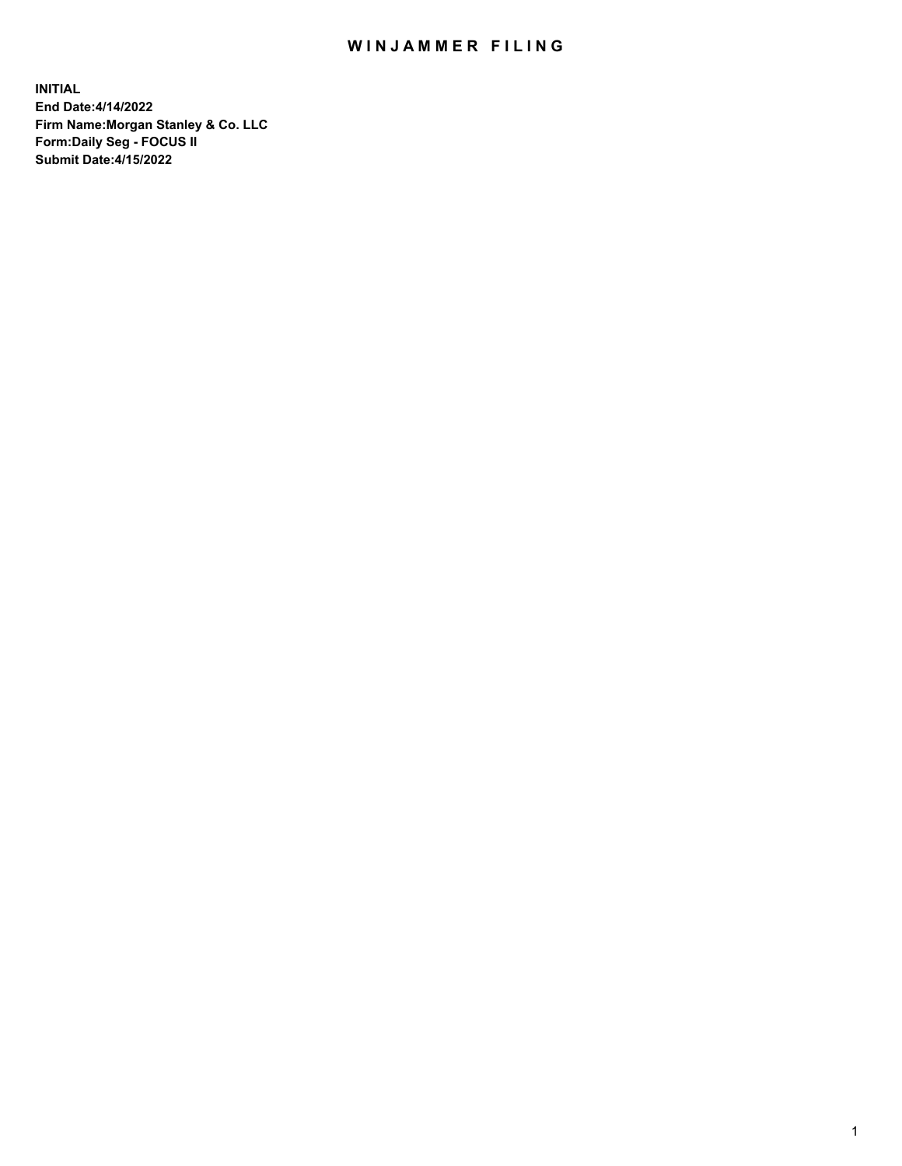## WIN JAMMER FILING

**INITIAL End Date:4/14/2022 Firm Name:Morgan Stanley & Co. LLC Form:Daily Seg - FOCUS II Submit Date:4/15/2022**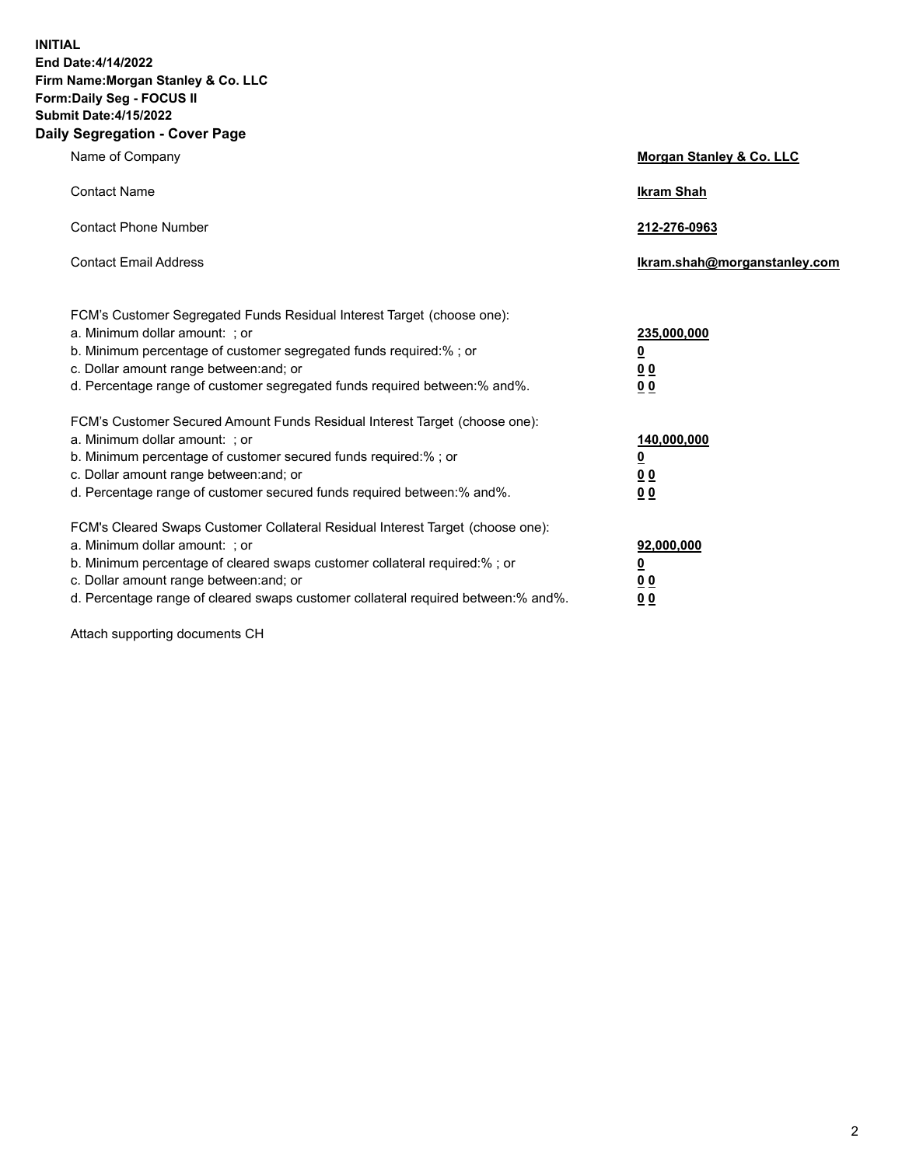**INITIAL End Date:4/14/2022 Firm Name:Morgan Stanley & Co. LLC Form:Daily Seg - FOCUS II Submit Date:4/15/2022 Daily Segregation - Cover Page**

| Name of Company                                                                                                                                                                                                                                                                                                                | <b>Morgan Stanley &amp; Co. LLC</b>                    |
|--------------------------------------------------------------------------------------------------------------------------------------------------------------------------------------------------------------------------------------------------------------------------------------------------------------------------------|--------------------------------------------------------|
| <b>Contact Name</b>                                                                                                                                                                                                                                                                                                            | <b>Ikram Shah</b>                                      |
| <b>Contact Phone Number</b>                                                                                                                                                                                                                                                                                                    | 212-276-0963                                           |
| <b>Contact Email Address</b>                                                                                                                                                                                                                                                                                                   | Ikram.shah@morganstanley.com                           |
| FCM's Customer Segregated Funds Residual Interest Target (choose one):<br>a. Minimum dollar amount: : or<br>b. Minimum percentage of customer segregated funds required:%; or<br>c. Dollar amount range between: and; or<br>d. Percentage range of customer segregated funds required between:% and%.                          | 235,000,000<br><u>0</u><br><u>00</u><br><u>00</u>      |
| FCM's Customer Secured Amount Funds Residual Interest Target (choose one):<br>a. Minimum dollar amount: ; or<br>b. Minimum percentage of customer secured funds required:%; or<br>c. Dollar amount range between: and; or<br>d. Percentage range of customer secured funds required between:% and%.                            | 140,000,000<br><u>0</u><br><u>00</u><br>0 <sub>0</sub> |
| FCM's Cleared Swaps Customer Collateral Residual Interest Target (choose one):<br>a. Minimum dollar amount: ; or<br>b. Minimum percentage of cleared swaps customer collateral required:% ; or<br>c. Dollar amount range between: and; or<br>d. Percentage range of cleared swaps customer collateral required between:% and%. | 92,000,000<br><u>0</u><br><u>00</u><br>00              |

Attach supporting documents CH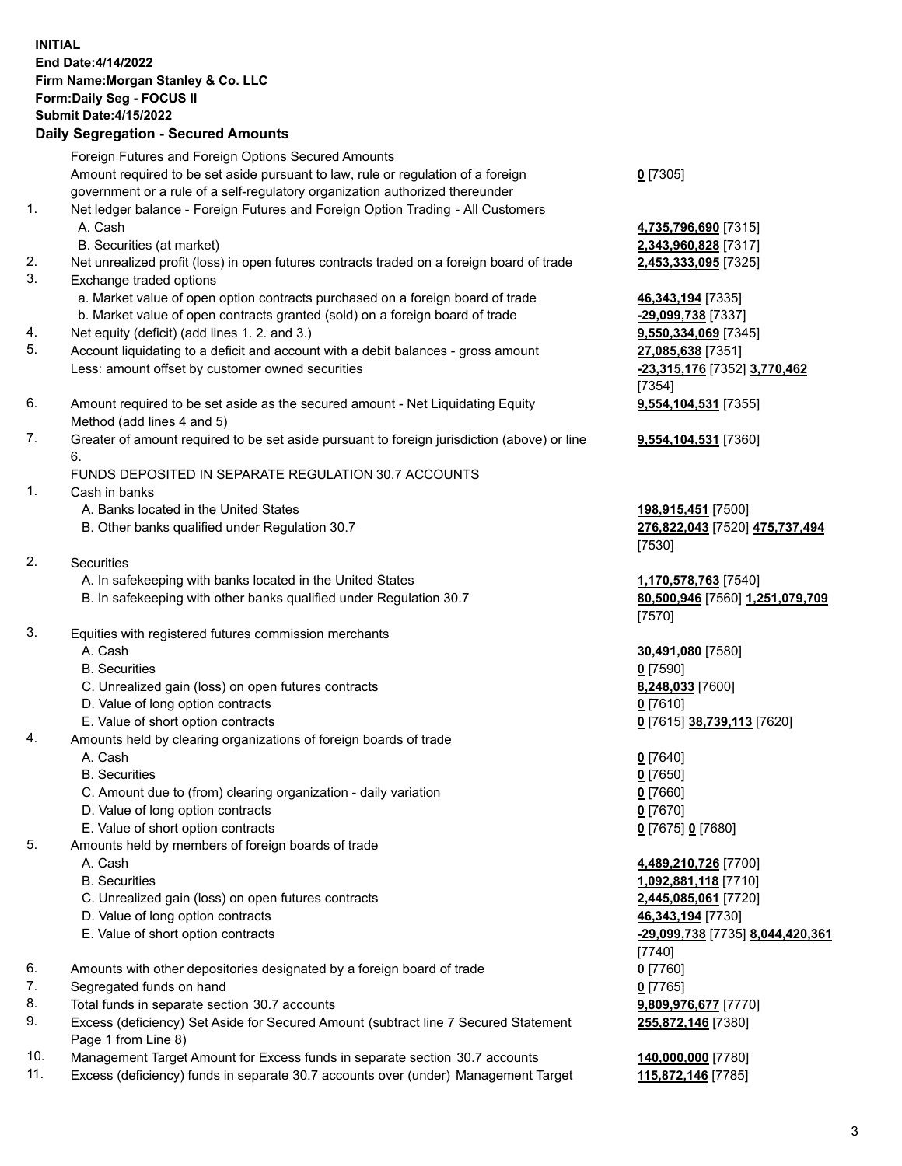## **INITIAL End Date:4/14/2022 Firm Name:Morgan Stanley & Co. LLC Form:Daily Seg - FOCUS II Submit Date:4/15/2022 Daily Segregation - Secured Amounts** Foreign Futures and Foreign Options Secured Amounts Amount required to be set aside pursuant to law, rule or regulation of a foreign government or a rule of a self-regulatory organization authorized thereunder 1. Net ledger balance - Foreign Futures and Foreign Option Trading - All Customers A. Cash **4,735,796,690** [7315] B. Securities (at market) **2,343,960,828** [7317] 2. Net unrealized profit (loss) in open futures contracts traded on a foreign board of trade **2,453,333,095** [7325] 3. Exchange traded options a. Market value of open option contracts purchased on a foreign board of trade **46,343,194** [7335] b. Market value of open contracts granted (sold) on a foreign board of trade **-29,099,738** [7337] 4. Net equity (deficit) (add lines 1. 2. and 3.) **9,550,334,069** [7345] 5. Account liquidating to a deficit and account with a debit balances - gross amount **27,085,638** [7351] Less: amount offset by customer owned securities **-23,315,176** [7352] **3,770,462** 6. Amount required to be set aside as the secured amount - Net Liquidating Equity Method (add lines 4 and 5) 7. Greater of amount required to be set aside pursuant to foreign jurisdiction (above) or line 6. FUNDS DEPOSITED IN SEPARATE REGULATION 30.7 ACCOUNTS 1. Cash in banks A. Banks located in the United States **198,915,451** [7500] B. Other banks qualified under Regulation 30.7 **276,822,043** [7520] **475,737,494** 2. Securities A. In safekeeping with banks located in the United States **1,170,578,763** [7540] B. In safekeeping with other banks qualified under Regulation 30.7 **80,500,946** [7560] **1,251,079,709** 3. Equities with registered futures commission merchants A. Cash **30,491,080** [7580] B. Securities **0** [7590] C. Unrealized gain (loss) on open futures contracts **8,248,033** [7600] D. Value of long option contracts **0** [7610] E. Value of short option contracts **0** [7615] **38,739,113** [7620] 4. Amounts held by clearing organizations of foreign boards of trade A. Cash **0** [7640] B. Securities **0** [7650] C. Amount due to (from) clearing organization - daily variation **0** [7660] D. Value of long option contracts **0** [7670] E. Value of short option contracts **0** [7675] **0** [7680] 5. Amounts held by members of foreign boards of trade A. Cash **4,489,210,726** [7700] B. Securities **1,092,881,118** [7710] C. Unrealized gain (loss) on open futures contracts **2,445,085,061** [7720] D. Value of long option contracts **46,343,194** [7730] E. Value of short option contracts **-29,099,738** [7735] **8,044,420,361**

- 6. Amounts with other depositories designated by a foreign board of trade **0** [7760]
- 7. Segregated funds on hand **0** [7765]
- 8. Total funds in separate section 30.7 accounts **9,809,976,677** [7770]
- 9. Excess (deficiency) Set Aside for Secured Amount (subtract line 7 Secured Statement Page 1 from Line 8)
- 10. Management Target Amount for Excess funds in separate section 30.7 accounts **140,000,000** [7780]
- 11. Excess (deficiency) funds in separate 30.7 accounts over (under) Management Target **115,872,146** [7785]

3

**0** [7305]

[7354]

[7530]

[7570]

[7740]

**255,872,146** [7380]

**9,554,104,531** [7355]

**9,554,104,531** [7360]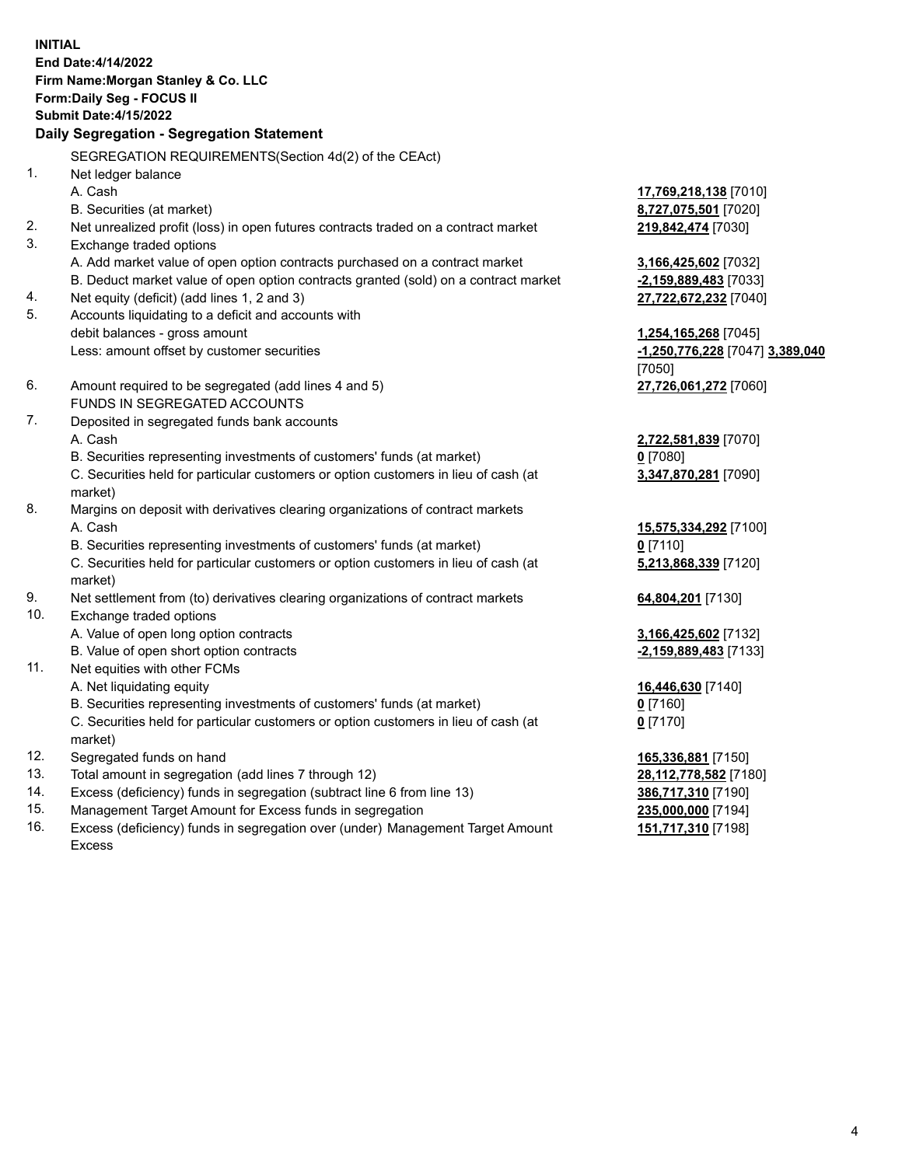**INITIAL End Date:4/14/2022 Firm Name:Morgan Stanley & Co. LLC Form:Daily Seg - FOCUS II Submit Date:4/15/2022 Daily Segregation - Segregation Statement** SEGREGATION REQUIREMENTS(Section 4d(2) of the CEAct) 1. Net ledger balance A. Cash **17,769,218,138** [7010] B. Securities (at market) **8,727,075,501** [7020] 2. Net unrealized profit (loss) in open futures contracts traded on a contract market **219,842,474** [7030] 3. Exchange traded options A. Add market value of open option contracts purchased on a contract market **3,166,425,602** [7032] B. Deduct market value of open option contracts granted (sold) on a contract market **-2,159,889,483** [7033] 4. Net equity (deficit) (add lines 1, 2 and 3) **27,722,672,232** [7040] 5. Accounts liquidating to a deficit and accounts with debit balances - gross amount **1,254,165,268** [7045] Less: amount offset by customer securities **-1,250,776,228** [7047] **3,389,040** [7050] 6. Amount required to be segregated (add lines 4 and 5) **27,726,061,272** [7060] FUNDS IN SEGREGATED ACCOUNTS 7. Deposited in segregated funds bank accounts A. Cash **2,722,581,839** [7070] B. Securities representing investments of customers' funds (at market) **0** [7080] C. Securities held for particular customers or option customers in lieu of cash (at market) **3,347,870,281** [7090] 8. Margins on deposit with derivatives clearing organizations of contract markets A. Cash **15,575,334,292** [7100] B. Securities representing investments of customers' funds (at market) **0** [7110] C. Securities held for particular customers or option customers in lieu of cash (at market) **5,213,868,339** [7120] 9. Net settlement from (to) derivatives clearing organizations of contract markets **64,804,201** [7130] 10. Exchange traded options A. Value of open long option contracts **3,166,425,602** [7132] B. Value of open short option contracts **-2,159,889,483** [7133] 11. Net equities with other FCMs A. Net liquidating equity **16,446,630** [7140] B. Securities representing investments of customers' funds (at market) **0** [7160] C. Securities held for particular customers or option customers in lieu of cash (at market) **0** [7170] 12. Segregated funds on hand **165,336,881** [7150] 13. Total amount in segregation (add lines 7 through 12) **28,112,778,582** [7180] 14. Excess (deficiency) funds in segregation (subtract line 6 from line 13) **386,717,310** [7190] 15. Management Target Amount for Excess funds in segregation **235,000,000** [7194]

16. Excess (deficiency) funds in segregation over (under) Management Target Amount Excess

**151,717,310** [7198]